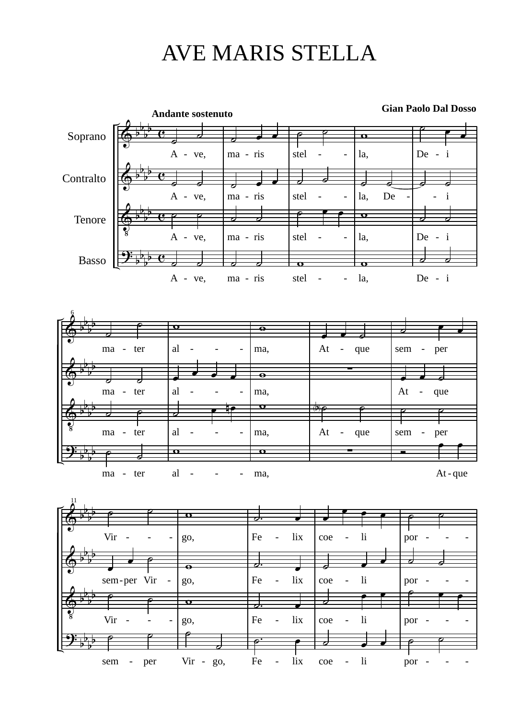## AVE MARIS STELLA